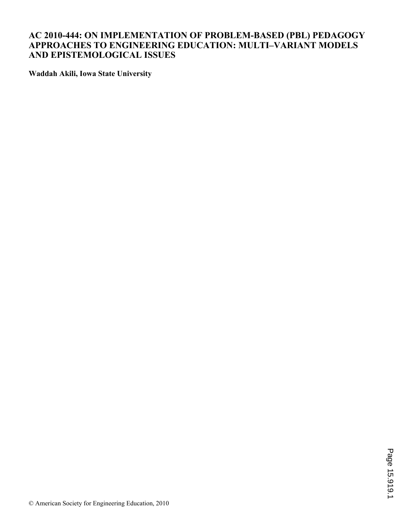## **AC 2010-444: ON IMPLEMENTATION OF PROBLEM-BASED (PBL) PEDAGOGY APPROACHES TO ENGINEERING EDUCATION: MULTI–VARIANT MODELS AND EPISTEMOLOGICAL ISSUES**

**Waddah Akili, Iowa State University**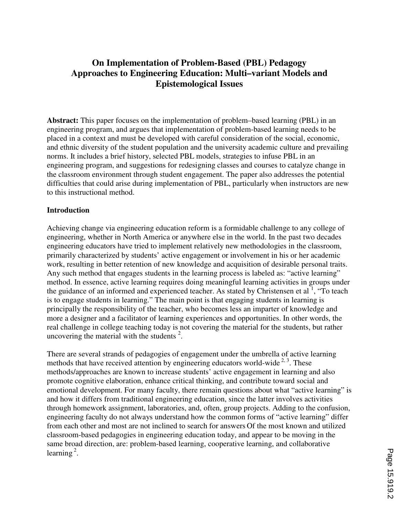# **On Implementation of Problem-Based (PBL) Pedagogy Approaches to Engineering Education: Multi–variant Models and Epistemological Issues**

**Abstract:** This paper focuses on the implementation of problem–based learning (PBL) in an engineering program, and argues that implementation of problem-based learning needs to be placed in a context and must be developed with careful consideration of the social, economic, and ethnic diversity of the student population and the university academic culture and prevailing norms. It includes a brief history, selected PBL models, strategies to infuse PBL in an engineering program, and suggestions for redesigning classes and courses to catalyze change in the classroom environment through student engagement. The paper also addresses the potential difficulties that could arise during implementation of PBL, particularly when instructors are new to this instructional method.

#### **Introduction**

Achieving change via engineering education reform is a formidable challenge to any college of engineering, whether in North America or anywhere else in the world. In the past two decades engineering educators have tried to implement relatively new methodologies in the classroom, primarily characterized by students' active engagement or involvement in his or her academic work, resulting in better retention of new knowledge and acquisition of desirable personal traits. Any such method that engages students in the learning process is labeled as: "active learning" method. In essence, active learning requires doing meaningful learning activities in groups under the guidance of an informed and experienced teacher. As stated by Christensen et al<sup>1</sup>, "To teach is to engage students in learning." The main point is that engaging students in learning is principally the responsibility of the teacher, who becomes less an imparter of knowledge and more a designer and a facilitator of learning experiences and opportunities. In other words, the real challenge in college teaching today is not covering the material for the students, but rather uncovering the material with the students  $2$ .

There are several strands of pedagogies of engagement under the umbrella of active learning methods that have received attention by engineering educators world-wide  $2<sup>3</sup>$ . These methods/approaches are known to increase students' active engagement in learning and also promote cognitive elaboration, enhance critical thinking, and contribute toward social and emotional development. For many faculty, there remain questions about what "active learning" is and how it differs from traditional engineering education, since the latter involves activities through homework assignment, laboratories, and, often, group projects. Adding to the confusion, engineering faculty do not always understand how the common forms of "active learning" differ from each other and most are not inclined to search for answers Of the most known and utilized classroom-based pedagogies in engineering education today, and appear to be moving in the same broad direction, are: problem-based learning, cooperative learning, and collaborative learning<sup>2</sup>.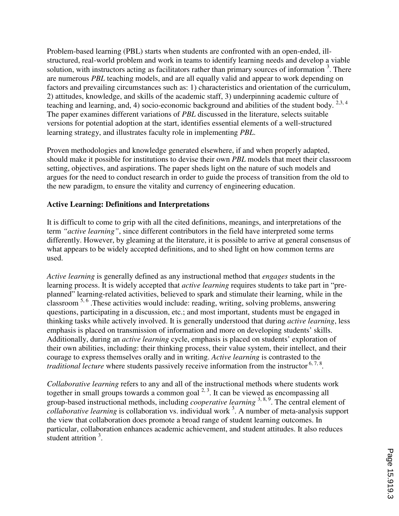Problem-based learning (PBL) starts when students are confronted with an open-ended, illstructured, real-world problem and work in teams to identify learning needs and develop a viable solution, with instructors acting as facilitators rather than primary sources of information<sup>3</sup>. There are numerous *PBL* teaching models, and are all equally valid and appear to work depending on factors and prevailing circumstances such as: 1) characteristics and orientation of the curriculum, 2) attitudes, knowledge, and skills of the academic staff, 3) underpinning academic culture of teaching and learning, and, 4) socio-economic background and abilities of the student body.<sup>2,3, 4</sup> The paper examines different variations of *PBL* discussed in the literature, selects suitable versions for potential adoption at the start, identifies essential elements of a well-structured learning strategy, and illustrates faculty role in implementing *PBL*.

Proven methodologies and knowledge generated elsewhere, if and when properly adapted, should make it possible for institutions to devise their own *PBL* models that meet their classroom setting, objectives, and aspirations. The paper sheds light on the nature of such models and argues for the need to conduct research in order to guide the process of transition from the old to the new paradigm, to ensure the vitality and currency of engineering education.

### **Active Learning: Definitions and Interpretations**

It is difficult to come to grip with all the cited definitions, meanings, and interpretations of the term *"active learning"*, since different contributors in the field have interpreted some terms differently. However, by gleaming at the literature, it is possible to arrive at general consensus of what appears to be widely accepted definitions, and to shed light on how common terms are used.

*Active learning* is generally defined as any instructional method that *engages* students in the learning process. It is widely accepted that *active learning* requires students to take part in "preplanned" learning-related activities, believed to spark and stimulate their learning, while in the classroom 5, 6 .These activities would include: reading, writing, solving problems, answering questions, participating in a discussion, etc.; and most important, students must be engaged in thinking tasks while actively involved. It is generally understood that during *active learning*, less emphasis is placed on transmission of information and more on developing students' skills. Additionally, during an *active learning* cycle, emphasis is placed on students' exploration of their own abilities, including: their thinking process, their value system, their intellect, and their courage to express themselves orally and in writing. *Active learning* is contrasted to the *traditional lecture* where students passively receive information from the instructor <sup>6, 7, 8</sup>.

*Collaborative learning* refers to any and all of the instructional methods where students work together in small groups towards a common goal  $2<sup>2</sup>$ ,  $3<sup>3</sup>$ . It can be viewed as encompassing all group-based instructional methods, including *cooperative learning* 3, 8, 9. The central element of *collaborative learning* is collaboration vs. individual work<sup>3</sup>. A number of meta-analysis support the view that collaboration does promote a broad range of student learning outcomes. In particular, collaboration enhances academic achievement, and student attitudes. It also reduces student attrition  $3$ .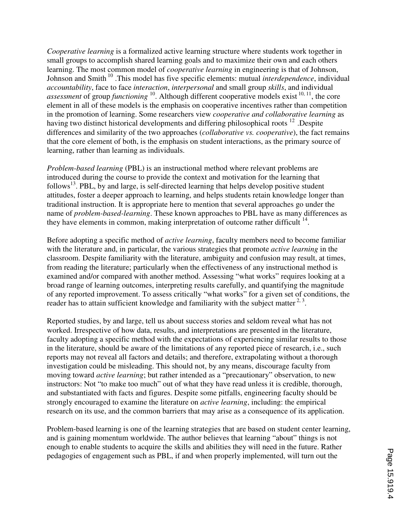*Cooperative learning* is a formalized active learning structure where students work together in small groups to accomplish shared learning goals and to maximize their own and each others learning. The most common model of *cooperative learning* in engineering is that of Johnson, Johnson and Smith<sup>10</sup>. This model has five specific elements: mutual *interdependence*, individual *accountability*, face to face *interaction*, *interpersonal* and small group *skills*, and individual *assessment* of group *functioning*<sup>10</sup>. Although different cooperative models exist<sup>10, 11</sup>, the core element in all of these models is the emphasis on cooperative incentives rather than competition in the promotion of learning. Some researchers view *cooperative and collaborative learning* as having two distinct historical developments and differing philosophical roots <sup>12</sup>. Despite differences and similarity of the two approaches (*collaborative vs. cooperative*), the fact remains that the core element of both, is the emphasis on student interactions, as the primary source of learning, rather than learning as individuals.

*Problem-based learning* (PBL) is an instructional method where relevant problems are introduced during the course to provide the context and motivation for the learning that  $follows<sup>13</sup>$ . PBL, by and large, is self-directed learning that helps develop positive student attitudes, foster a deeper approach to learning, and helps students retain knowledge longer than traditional instruction. It is appropriate here to mention that several approaches go under the name of *problem-based-learning*. These known approaches to PBL have as many differences as they have elements in common, making interpretation of outcome rather difficult <sup>14</sup>.

Before adopting a specific method of *active learning*, faculty members need to become familiar with the literature and, in particular, the various strategies that promote *active learning* in the classroom. Despite familiarity with the literature, ambiguity and confusion may result, at times, from reading the literature; particularly when the effectiveness of any instructional method is examined and/or compared with another method. Assessing "what works" requires looking at a broad range of learning outcomes, interpreting results carefully, and quantifying the magnitude of any reported improvement. To assess critically "what works" for a given set of conditions, the reader has to attain sufficient knowledge and familiarity with the subject matter  $2,3$ .

Reported studies, by and large, tell us about success stories and seldom reveal what has not worked. Irrespective of how data, results, and interpretations are presented in the literature, faculty adopting a specific method with the expectations of experiencing similar results to those in the literature, should be aware of the limitations of any reported piece of research, i.e., such reports may not reveal all factors and details; and therefore, extrapolating without a thorough investigation could be misleading. This should not, by any means, discourage faculty from moving toward *active learning*; but rather intended as a "precautionary" observation, to new instructors: Not "to make too much" out of what they have read unless it is credible, thorough, and substantiated with facts and figures. Despite some pitfalls, engineering faculty should be strongly encouraged to examine the literature on *active learning*, including: the empirical research on its use, and the common barriers that may arise as a consequence of its application.

Problem-based learning is one of the learning strategies that are based on student center learning, and is gaining momentum worldwide. The author believes that learning "about" things is not enough to enable students to acquire the skills and abilities they will need in the future. Rather pedagogies of engagement such as PBL, if and when properly implemented, will turn out the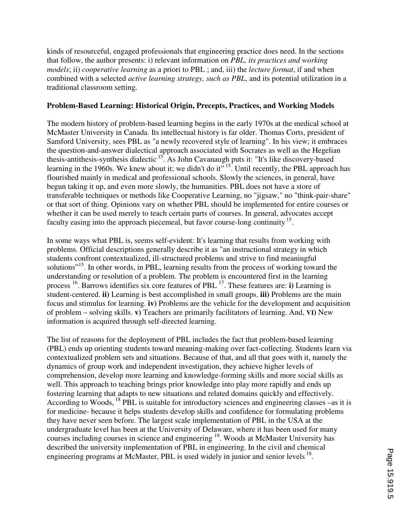kinds of resourceful, engaged professionals that engineering practice does need. In the sections that follow, the author presents: i) relevant information on *PBL, its practices and working models*; ii) *cooperative learning* as a priori to PBL ; and, iii) the *lecture format*, if and when combined with a selected *active learning strategy, such as PBL*, and its potential utilization in a traditional classroom setting.

#### **Problem-Based Learning: Historical Origin, Precepts, Practices, and Working Models**

The modern history of problem-based learning begins in the early 1970s at the medical school at McMaster University in Canada. Its intellectual history is far older. Thomas Corts, president of Samford University, sees PBL as "a newly recovered style of learning". In his view; it embraces the question-and-answer dialectical approach associated with Socrates as well as the Hegelian thesis-antithesis-synthesis dialectic  $15<sup>15</sup>$ . As John Cavanaugh puts it: "It's like discovery-based learning in the 1960s. We knew about it; we didn't do it"<sup>15</sup>. Until recently, the PBL approach has flourished mainly in medical and professional schools. Slowly the sciences, in general, have begun taking it up, and even more slowly, the humanities. PBL does not have a store of transferable techniques or methods like Cooperative Learning, no "jigsaw," no "think-pair-share" or that sort of thing. Opinions vary on whether PBL should be implemented for entire courses or whether it can be used merely to teach certain parts of courses. In general, advocates accept faculty easing into the approach piecemeal, but favor course-long continuity  $15$ .

In some ways what PBL is, seems self-evident: It's learning that results from working with problems. Official descriptions generally describe it as "an instructional strategy in which students confront contextualized, ill-structured problems and strive to find meaningful solutions"<sup>15</sup>. In other words, in PBL, learning results from the process of working toward the understanding or resolution of a problem. The problem is encountered first in the learning process <sup>16</sup>. Barrows identifies six core features of PBL <sup>17</sup>. These features are: **i)** Learning is student-centered. **ii)** Learning is best accomplished in small groups. **iii)** Problems are the main focus and stimulus for learning. **iv)** Problems are the vehicle for the development and acquisition of problem – solving skills. **v)** Teachers are primarily facilitators of learning. And, **VI)** New information is acquired through self-directed learning.

The list of reasons for the deployment of PBL includes the fact that problem-based learning (PBL) ends up orienting students toward meaning-making over fact-collecting. Students learn via contextualized problem sets and situations. Because of that, and all that goes with it, namely the dynamics of group work and independent investigation, they achieve higher levels of comprehension, develop more learning and knowledge-forming skills and more social skills as well. This approach to teaching brings prior knowledge into play more rapidly and ends up fostering learning that adapts to new situations and related domains quickly and effectively. According to Woods,  $^{18}$  PBL is suitable for introductory sciences and engineering classes –as it is for medicine- because it helps students develop skills and confidence for formulating problems they have never seen before. The largest scale implementation of PBL in the USA at the undergraduate level has been at the University of Delaware, where it has been used for many courses including courses in science and engineering <sup>19</sup>. Woods at McMaster University has described the university implementation of PBL in engineering. In the civil and chemical engineering programs at McMaster, PBL is used widely in junior and senior levels <sup>18</sup>.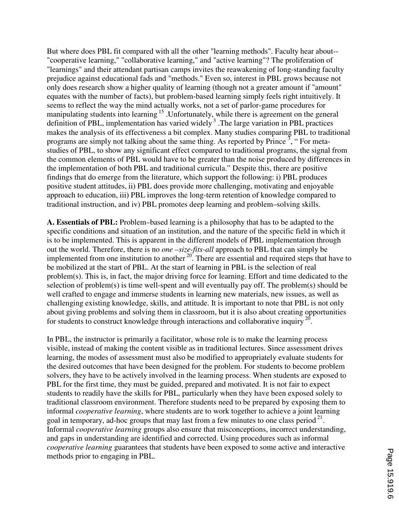But where does PBL fit compared with all the other "learning methods". Faculty hear about-- "cooperative learning," "collaborative learning," and "active learning"? The proliferation of "learnings" and their attendant partisan camps invites the reawakening of long-standing faculty prejudice against educational fads and "methods." Even so, interest in PBL grows because not only does research show a higher quality of learning (though not a greater amount if "amount" equates with the number of facts), but problem-based learning simply feels right intuitively. It seems to reflect the way the mind actually works, not a set of parlor-game procedures for manipulating students into learning<sup>15</sup>. Unfortunately, while there is agreement on the general definition of PBL, implementation has varied widely<sup>3</sup>. The large variation in PBL practices makes the analysis of its effectiveness a bit complex. Many studies comparing PBL to traditional programs are simply not talking about the same thing. As reported by Prince  $\frac{3}{2}$ , "For metastudies of PBL, to show any significant effect compared to traditional programs, the signal from the common elements of PBL would have to be greater than the noise produced by differences in the implementation of both PBL and traditional curricula." Despite this, there are positive findings that do emerge from the literature, which support the following: i) PBL produces positive student attitudes, ii) PBL does provide more challenging, motivating and enjoyable approach to education, iii) PBL improves the long-term retention of knowledge compared to traditional instruction, and iv) PBL promotes deep learning and problem–solving skills.

**A. Essentials of PBL:** Problem–based learning is a philosophy that has to be adapted to the specific conditions and situation of an institution, and the nature of the specific field in which it is to be implemented. This is apparent in the different models of PBL implementation through out the world. Therefore, there is no *one –size-fits-all* approach to PBL that can simply be implemented from one institution to another  $20^{\circ}$ . There are essential and required steps that have to be mobilized at the start of PBL. At the start of learning in PBL is the selection of real problem(s). This is, in fact, the major driving force for learning. Effort and time dedicated to the selection of problem(s) is time well-spent and will eventually pay off. The problem(s) should be well crafted to engage and immerse students in learning new materials, new issues, as well as challenging existing knowledge, skills, and attitude. It is important to note that PBL is not only about giving problems and solving them in classroom, but it is also about creating opportunities for students to construct knowledge through interactions and collaborative inquiry  $20$ .

In PBL, the instructor is primarily a facilitator, whose role is to make the learning process visible, instead of making the content visible as in traditional lectures. Since assessment drives learning, the modes of assessment must also be modified to appropriately evaluate students for the desired outcomes that have been designed for the problem. For students to become problem solvers, they have to be actively involved in the learning process. When students are exposed to PBL for the first time, they must be guided, prepared and motivated. It is not fair to expect students to readily have the skills for PBL, particularly when they have been exposed solely to traditional classroom environment. Therefore students need to be prepared by exposing them to informal *cooperative learning*, where students are to work together to achieve a joint learning goal in temporary, ad-hoc groups that may last from a few minutes to one class period  $21$ . Informal *cooperative learning* groups also ensure that misconceptions, incorrect understanding, and gaps in understanding are identified and corrected. Using procedures such as informal *cooperative learning* guarantees that students have been exposed to some active and interactive methods prior to engaging in PBL.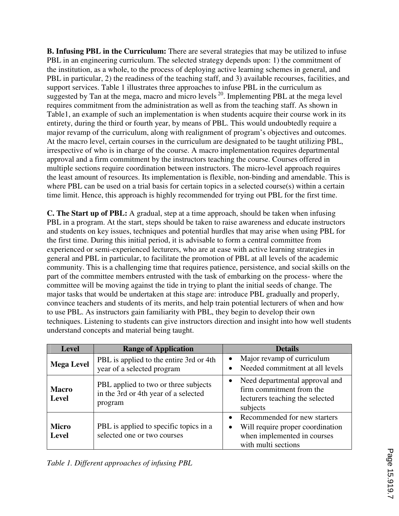**B. Infusing PBL in the Curriculum:** There are several strategies that may be utilized to infuse PBL in an engineering curriculum. The selected strategy depends upon: 1) the commitment of the institution, as a whole, to the process of deploying active learning schemes in general, and PBL in particular, 2) the readiness of the teaching staff, and 3) available recourses, facilities, and support services. Table 1 illustrates three approaches to infuse PBL in the curriculum as suggested by Tan at the mega, macro and micro levels<sup>20</sup>. Implementing PBL at the mega level requires commitment from the administration as well as from the teaching staff. As shown in Table1, an example of such an implementation is when students acquire their course work in its entirety, during the third or fourth year, by means of PBL. This would undoubtedly require a major revamp of the curriculum, along with realignment of program's objectives and outcomes. At the macro level, certain courses in the curriculum are designated to be taught utilizing PBL, irrespective of who is in charge of the course. A macro implementation requires departmental approval and a firm commitment by the instructors teaching the course. Courses offered in multiple sections require coordination between instructors. The micro-level approach requires the least amount of resources. Its implementation is flexible, non-binding and amendable. This is where PBL can be used on a trial basis for certain topics in a selected course(s) within a certain time limit. Hence, this approach is highly recommended for trying out PBL for the first time.

**C. The Start up of PBL:** A gradual, step at a time approach, should be taken when infusing PBL in a program. At the start, steps should be taken to raise awareness and educate instructors and students on key issues, techniques and potential hurdles that may arise when using PBL for the first time. During this initial period, it is advisable to form a central committee from experienced or semi-experienced lecturers, who are at ease with active learning strategies in general and PBL in particular, to facilitate the promotion of PBL at all levels of the academic community. This is a challenging time that requires patience, persistence, and social skills on the part of the committee members entrusted with the task of embarking on the process- where the committee will be moving against the tide in trying to plant the initial seeds of change. The major tasks that would be undertaken at this stage are: introduce PBL gradually and properly, convince teachers and students of its merits, and help train potential lecturers of when and how to use PBL. As instructors gain familiarity with PBL, they begin to develop their own techniques. Listening to students can give instructors direction and insight into how well students understand concepts and material being taught.

| <b>Level</b>                 | <b>Range of Application</b>                                                             | <b>Details</b>                                                                                                                                   |
|------------------------------|-----------------------------------------------------------------------------------------|--------------------------------------------------------------------------------------------------------------------------------------------------|
| <b>Mega Level</b>            | PBL is applied to the entire 3rd or 4th<br>year of a selected program                   | Major revamp of curriculum<br>$\bullet$<br>Needed commitment at all levels<br>$\bullet$                                                          |
| <b>Macro</b><br><b>Level</b> | PBL applied to two or three subjects<br>in the 3rd or 4th year of a selected<br>program | Need departmental approval and<br>firm commitment from the<br>lecturers teaching the selected<br>subjects                                        |
| <b>Micro</b><br><b>Level</b> | PBL is applied to specific topics in a<br>selected one or two courses                   | Recommended for new starters<br>$\bullet$<br>Will require proper coordination<br>$\bullet$<br>when implemented in courses<br>with multi sections |

*Table 1. Different approaches of infusing PBL*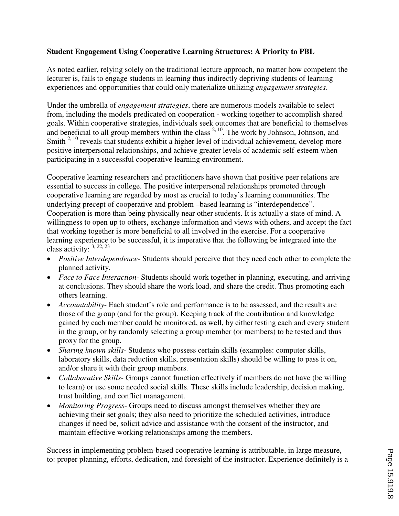## **Student Engagement Using Cooperative Learning Structures: A Priority to PBL**

As noted earlier, relying solely on the traditional lecture approach, no matter how competent the lecturer is, fails to engage students in learning thus indirectly depriving students of learning experiences and opportunities that could only materialize utilizing *engagement strategies*.

Under the umbrella of *engagement strategies*, there are numerous models available to select from, including the models predicated on cooperation - working together to accomplish shared goals. Within cooperative strategies, individuals seek outcomes that are beneficial to themselves and beneficial to all group members within the class  $2, 10$ . The work by Johnson, Johnson, and Smith  $2,10$  reveals that students exhibit a higher level of individual achievement, develop more positive interpersonal relationships, and achieve greater levels of academic self-esteem when participating in a successful cooperative learning environment.

Cooperative learning researchers and practitioners have shown that positive peer relations are essential to success in college. The positive interpersonal relationships promoted through cooperative learning are regarded by most as crucial to today's learning communities. The underlying precept of cooperative and problem –based learning is "interdependence". Cooperation is more than being physically near other students. It is actually a state of mind. A willingness to open up to others, exchange information and views with others, and accept the fact that working together is more beneficial to all involved in the exercise. For a cooperative learning experience to be successful, it is imperative that the following be integrated into the class activity:  $3, 22, 23$ 

- ≠ *Positive Interdependence* Students should perceive that they need each other to complete the planned activity.
- ≠ *Face to Face Interaction* Students should work together in planning, executing, and arriving at conclusions. They should share the work load, and share the credit. Thus promoting each others learning.
- ≠ *Accountability* Each student's role and performance is to be assessed, and the results are those of the group (and for the group). Keeping track of the contribution and knowledge gained by each member could be monitored, as well, by either testing each and every student in the group, or by randomly selecting a group member (or members) to be tested and thus proxy for the group.
- *Sharing known skills* Students who possess certain skills (examples: computer skills, laboratory skills, data reduction skills, presentation skills) should be willing to pass it on, and/or share it with their group members.
- ≠ *Collaborative Skills* Groups cannot function effectively if members do not have (be willing to learn) or use some needed social skills. These skills include leadership, decision making, trust building, and conflict management.
- *Monitoring Progress* Groups need to discuss amongst themselves whether they are achieving their set goals; they also need to prioritize the scheduled activities, introduce changes if need be, solicit advice and assistance with the consent of the instructor, and maintain effective working relationships among the members.

Success in implementing problem-based cooperative learning is attributable, in large measure, to: proper planning, efforts, dedication, and foresight of the instructor. Experience definitely is a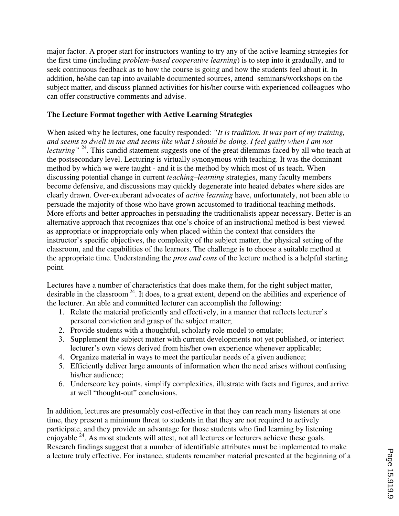major factor. A proper start for instructors wanting to try any of the active learning strategies for the first time (including *problem-based cooperative learning*) is to step into it gradually, and to seek continuous feedback as to how the course is going and how the students feel about it. In addition, he/she can tap into available documented sources, attend seminars/workshops on the subject matter, and discuss planned activities for his/her course with experienced colleagues who can offer constructive comments and advise.

## **The Lecture Format together with Active Learning Strategies**

When asked why he lectures, one faculty responded: *"It is tradition. It was part of my training, and seems to dwell in me and seems like what I should be doing. I feel guilty when I am not lecturing*"<sup>24</sup>. This candid statement suggests one of the great dilemmas faced by all who teach at the postsecondary level. Lecturing is virtually synonymous with teaching. It was the dominant method by which we were taught - and it is the method by which most of us teach. When discussing potential change in current *teaching–learning* strategies, many faculty members become defensive, and discussions may quickly degenerate into heated debates where sides are clearly drawn. Over-exuberant advocates of *active learning* have, unfortunately, not been able to persuade the majority of those who have grown accustomed to traditional teaching methods. More efforts and better approaches in persuading the traditionalists appear necessary. Better is an alternative approach that recognizes that one's choice of an instructional method is best viewed as appropriate or inappropriate only when placed within the context that considers the instructor's specific objectives, the complexity of the subject matter, the physical setting of the classroom, and the capabilities of the learners. The challenge is to choose a suitable method at the appropriate time. Understanding the *pros and cons* of the lecture method is a helpful starting point.

Lectures have a number of characteristics that does make them, for the right subject matter, desirable in the classroom<sup>24</sup>. It does, to a great extent, depend on the abilities and experience of the lecturer. An able and committed lecturer can accomplish the following:

- 1. Relate the material proficiently and effectively, in a manner that reflects lecturer's personal conviction and grasp of the subject matter;
- 2. Provide students with a thoughtful, scholarly role model to emulate;
- 3. Supplement the subject matter with current developments not yet published, or interject lecturer's own views derived from his/her own experience whenever applicable;
- 4. Organize material in ways to meet the particular needs of a given audience;
- 5. Efficiently deliver large amounts of information when the need arises without confusing his/her audience;
- 6. Underscore key points, simplify complexities, illustrate with facts and figures, and arrive at well "thought-out" conclusions.

In addition, lectures are presumably cost-effective in that they can reach many listeners at one time, they present a minimum threat to students in that they are not required to actively participate, and they provide an advantage for those students who find learning by listening enjoyable  $^{24}$ . As most students will attest, not all lectures or lecturers achieve these goals. Research findings suggest that a number of identifiable attributes must be implemented to make a lecture truly effective. For instance, students remember material presented at the beginning of a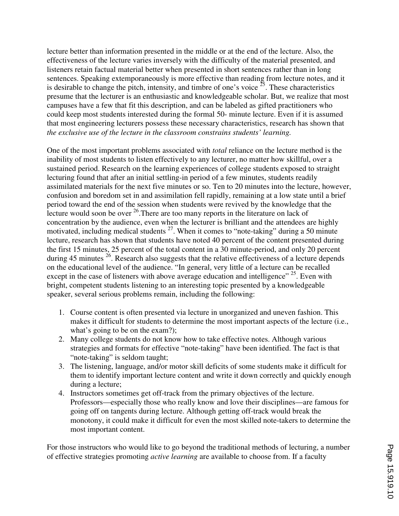lecture better than information presented in the middle or at the end of the lecture. Also, the effectiveness of the lecture varies inversely with the difficulty of the material presented, and listeners retain factual material better when presented in short sentences rather than in long sentences. Speaking extemporaneously is more effective than reading from lecture notes, and it is desirable to change the pitch, intensity, and timbre of one's voice  $^{25}$ . These characteristics presume that the lecturer is an enthusiastic and knowledgeable scholar. But, we realize that most campuses have a few that fit this description, and can be labeled as gifted practitioners who could keep most students interested during the formal 50- minute lecture. Even if it is assumed that most engineering lecturers possess these necessary characteristics, research has shown that *the exclusive use of the lecture in the classroom constrains students' learning.*

One of the most important problems associated with *total* reliance on the lecture method is the inability of most students to listen effectively to any lecturer, no matter how skillful, over a sustained period. Research on the learning experiences of college students exposed to straight lecturing found that after an initial settling-in period of a few minutes, students readily assimilated materials for the next five minutes or so. Ten to 20 minutes into the lecture, however, confusion and boredom set in and assimilation fell rapidly, remaining at a low state until a brief period toward the end of the session when students were revived by the knowledge that the lecture would soon be over  $^{26}$ . There are too many reports in the literature on lack of concentration by the audience, even when the lecturer is brilliant and the attendees are highly motivated, including medical students  $27$ . When it comes to "note-taking" during a 50 minute lecture, research has shown that students have noted 40 percent of the content presented during the first 15 minutes, 25 percent of the total content in a 30 minute-period, and only 20 percent during 45 minutes <sup>26</sup>. Research also suggests that the relative effectiveness of a lecture depends on the educational level of the audience. "In general, very little of a lecture can be recalled except in the case of listeners with above average education and intelligence"  $^{25}$ . Even with bright, competent students listening to an interesting topic presented by a knowledgeable speaker, several serious problems remain, including the following:

- 1. Course content is often presented via lecture in unorganized and uneven fashion. This makes it difficult for students to determine the most important aspects of the lecture (i.e., what's going to be on the exam?);
- 2. Many college students do not know how to take effective notes. Although various strategies and formats for effective "note-taking" have been identified. The fact is that "note-taking" is seldom taught;
- 3. The listening, language, and/or motor skill deficits of some students make it difficult for them to identify important lecture content and write it down correctly and quickly enough during a lecture;
- 4. Instructors sometimes get off-track from the primary objectives of the lecture. Professors—especially those who really know and love their disciplines—are famous for going off on tangents during lecture. Although getting off-track would break the monotony, it could make it difficult for even the most skilled note-takers to determine the most important content.

For those instructors who would like to go beyond the traditional methods of lecturing, a number of effective strategies promoting *active learning* are available to choose from. If a faculty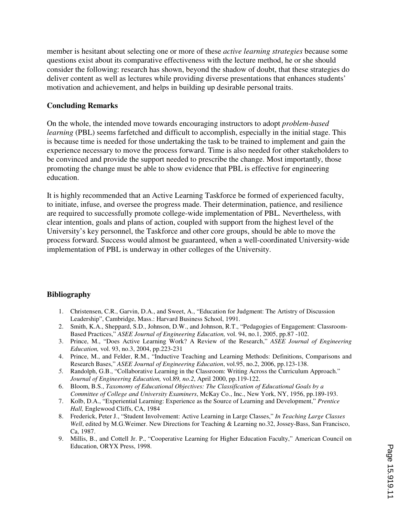member is hesitant about selecting one or more of these *active learning strategies* because some questions exist about its comparative effectiveness with the lecture method, he or she should consider the following: research has shown, beyond the shadow of doubt, that these strategies do deliver content as well as lectures while providing diverse presentations that enhances students' motivation and achievement, and helps in building up desirable personal traits.

#### **Concluding Remarks**

On the whole, the intended move towards encouraging instructors to adopt *problem-based learning* (PBL) seems farfetched and difficult to accomplish, especially in the initial stage. This is because time is needed for those undertaking the task to be trained to implement and gain the experience necessary to move the process forward. Time is also needed for other stakeholders to be convinced and provide the support needed to prescribe the change. Most importantly, those promoting the change must be able to show evidence that PBL is effective for engineering education.

It is highly recommended that an Active Learning Taskforce be formed of experienced faculty, to initiate, infuse, and oversee the progress made. Their determination, patience, and resilience are required to successfully promote college-wide implementation of PBL. Nevertheless, with clear intention, goals and plans of action, coupled with support from the highest level of the University's key personnel, the Taskforce and other core groups, should be able to move the process forward. Success would almost be guaranteed, when a well-coordinated University-wide implementation of PBL is underway in other colleges of the University.

#### **Bibliography**

- 1. Christensen, C.R., Garvin, D.A., and Sweet, A., "Education for Judgment: The Artistry of Discussion Leadership", Cambridge, Mass.: Harvard Business School, 1991.
- 2. Smith, K.A., Sheppard, S.D., Johnson, D.W., and Johnson, R.T., "Pedagogies of Engagement: Classroom-Based Practices," *ASEE Journal of Engineering Education,* vol. 94, no.1, 2005, pp.87 -102.
- 3. Prince, M., "Does Active Learning Work? A Review of the Research," *ASEE Journal of Engineering Education,* vol. 93, no.3, 2004, pp.223-231
- 4. Prince, M., and Felder, R.M., "Inductive Teaching and Learning Methods: Definitions, Comparisons and Research Bases," *ASEE Journal of Engineering Education*, vol.95, no.2, 2006, pp.123-138.
- *5.* Randolph, G.B., "Collaborative Learning in the Classroom: Writing Across the Curriculum Approach." *Journal of Engineering Education,* vol.89*, no.2*, April 2000, pp.119-122.
- 6. Bloom, B.S., *Taxonomy of Educational Objectives: The Classification of Educational Goals by a Committee of College and University Examiners*, McKay Co., Inc., New York, NY, 1956, pp.189-193.
- 7. Kolb, D.A., "Experiential Learning: Experience as the Source of Learning and Development," *Prentice Hall,* Englewood Cliffs, CA, 1984
- 8. Frederick, Peter J., "Student Involvement: Active Learning in Large Classes," *In Teaching Large Classes Well*, edited by M.G.Weimer. New Directions for Teaching & Learning no.32, Jossey-Bass, San Francisco, Ca, 1987.
- 9. Millis, B., and Cottell Jr. P., "Cooperative Learning for Higher Education Faculty," American Council on Education, ORYX Press, 1998.